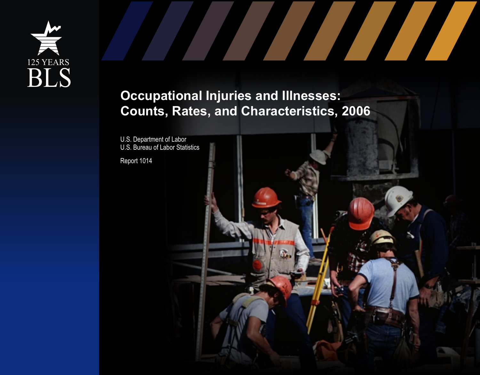

## **Occupational Injuries and Illnesses: Counts, Rates, and Characteristics, 2006**

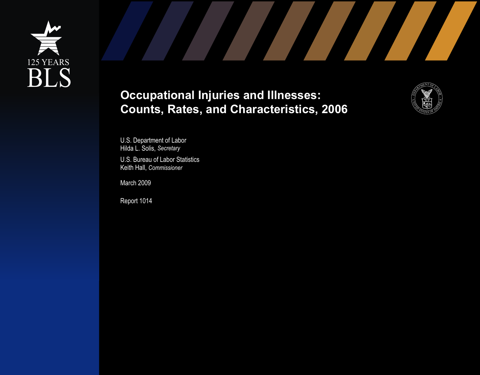





U.S. Department of Labor Hilda L. Solis, *Secretary* 

U.S. Bureau of Labor Statistics Keith Hall, *Commissioner*

March 2009

Report 1014